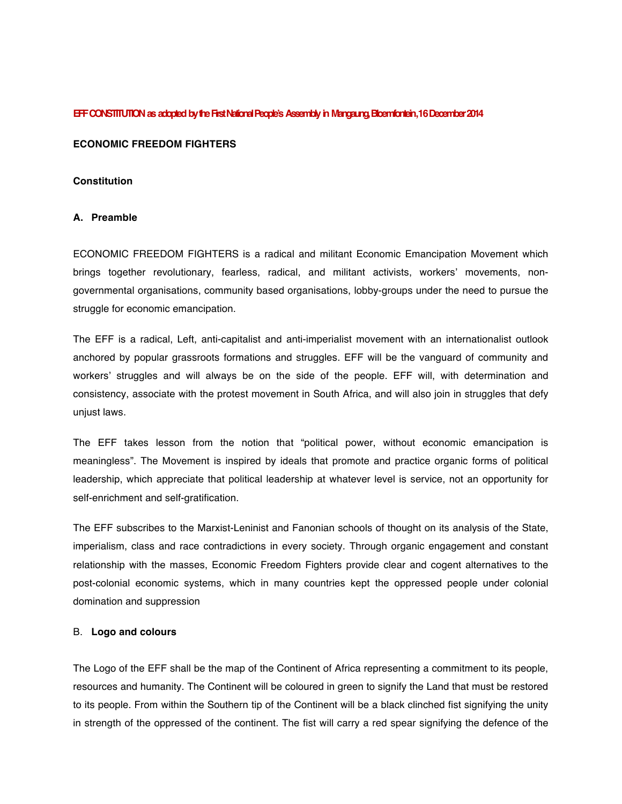#### **EFF CONSTITUTION as adopted by theFirst National People's Assembly in Mangaung,Bloemfontein,1 6 December 2014**

#### **ECONOMIC FREEDOM FIGHTERS**

#### **Constitution**

#### **A. Preamble**

ECONOMIC FREEDOM FIGHTERS is a radical and militant Economic Emancipation Movement which brings together revolutionary, fearless, radical, and militant activists, workers' movements, nongovernmental organisations, community based organisations, lobby-groups under the need to pursue the struggle for economic emancipation.

The EFF is a radical, Left, anti-capitalist and anti-imperialist movement with an internationalist outlook anchored by popular grassroots formations and struggles. EFF will be the vanguard of community and workers' struggles and will always be on the side of the people. EFF will, with determination and consistency, associate with the protest movement in South Africa, and will also join in struggles that defy unjust laws.

The EFF takes lesson from the notion that "political power, without economic emancipation is meaningless". The Movement is inspired by ideals that promote and practice organic forms of political leadership, which appreciate that political leadership at whatever level is service, not an opportunity for self-enrichment and self-gratification.

The EFF subscribes to the Marxist-Leninist and Fanonian schools of thought on its analysis of the State, imperialism, class and race contradictions in every society. Through organic engagement and constant relationship with the masses, Economic Freedom Fighters provide clear and cogent alternatives to the post-colonial economic systems, which in many countries kept the oppressed people under colonial domination and suppression

#### B. **Logo and colours**

The Logo of the EFF shall be the map of the Continent of Africa representing a commitment to its people, resources and humanity. The Continent will be coloured in green to signify the Land that must be restored to its people. From within the Southern tip of the Continent will be a black clinched fist signifying the unity in strength of the oppressed of the continent. The fist will carry a red spear signifying the defence of the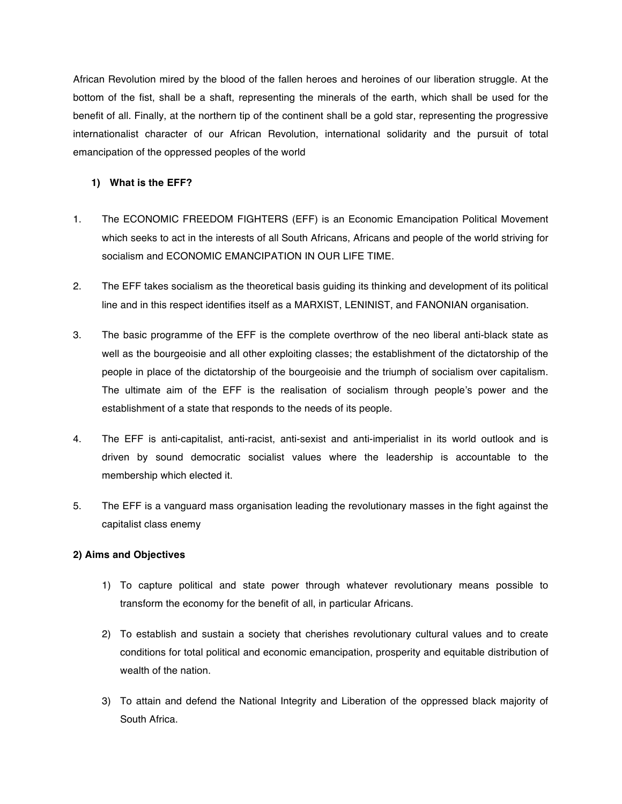African Revolution mired by the blood of the fallen heroes and heroines of our liberation struggle. At the bottom of the fist, shall be a shaft, representing the minerals of the earth, which shall be used for the benefit of all. Finally, at the northern tip of the continent shall be a gold star, representing the progressive internationalist character of our African Revolution, international solidarity and the pursuit of total emancipation of the oppressed peoples of the world

### **1) What is the EFF?**

- 1. The ECONOMIC FREEDOM FIGHTERS (EFF) is an Economic Emancipation Political Movement which seeks to act in the interests of all South Africans, Africans and people of the world striving for socialism and ECONOMIC EMANCIPATION IN OUR LIFE TIME.
- 2. The EFF takes socialism as the theoretical basis guiding its thinking and development of its political line and in this respect identifies itself as a MARXIST, LENINIST, and FANONIAN organisation.
- 3. The basic programme of the EFF is the complete overthrow of the neo liberal anti-black state as well as the bourgeoisie and all other exploiting classes; the establishment of the dictatorship of the people in place of the dictatorship of the bourgeoisie and the triumph of socialism over capitalism. The ultimate aim of the EFF is the realisation of socialism through people's power and the establishment of a state that responds to the needs of its people.
- 4. The EFF is anti-capitalist, anti-racist, anti-sexist and anti-imperialist in its world outlook and is driven by sound democratic socialist values where the leadership is accountable to the membership which elected it.
- 5. The EFF is a vanguard mass organisation leading the revolutionary masses in the fight against the capitalist class enemy

#### **2) Aims and Objectives**

- 1) To capture political and state power through whatever revolutionary means possible to transform the economy for the benefit of all, in particular Africans.
- 2) To establish and sustain a society that cherishes revolutionary cultural values and to create conditions for total political and economic emancipation, prosperity and equitable distribution of wealth of the nation.
- 3) To attain and defend the National Integrity and Liberation of the oppressed black majority of South Africa.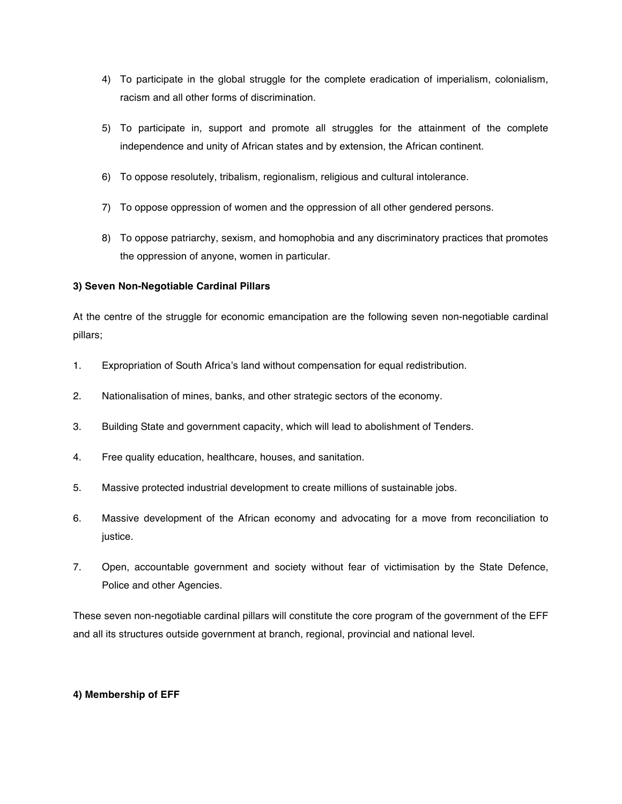- 4) To participate in the global struggle for the complete eradication of imperialism, colonialism, racism and all other forms of discrimination.
- 5) To participate in, support and promote all struggles for the attainment of the complete independence and unity of African states and by extension, the African continent.
- 6) To oppose resolutely, tribalism, regionalism, religious and cultural intolerance.
- 7) To oppose oppression of women and the oppression of all other gendered persons.
- 8) To oppose patriarchy, sexism, and homophobia and any discriminatory practices that promotes the oppression of anyone, women in particular.

### **3) Seven Non-Negotiable Cardinal Pillars**

At the centre of the struggle for economic emancipation are the following seven non-negotiable cardinal pillars;

- 1. Expropriation of South Africa's land without compensation for equal redistribution.
- 2. Nationalisation of mines, banks, and other strategic sectors of the economy.
- 3. Building State and government capacity, which will lead to abolishment of Tenders.
- 4. Free quality education, healthcare, houses, and sanitation.
- 5. Massive protected industrial development to create millions of sustainable jobs.
- 6. Massive development of the African economy and advocating for a move from reconciliation to justice.
- 7. Open, accountable government and society without fear of victimisation by the State Defence, Police and other Agencies.

These seven non-negotiable cardinal pillars will constitute the core program of the government of the EFF and all its structures outside government at branch, regional, provincial and national level.

#### **4) Membership of EFF**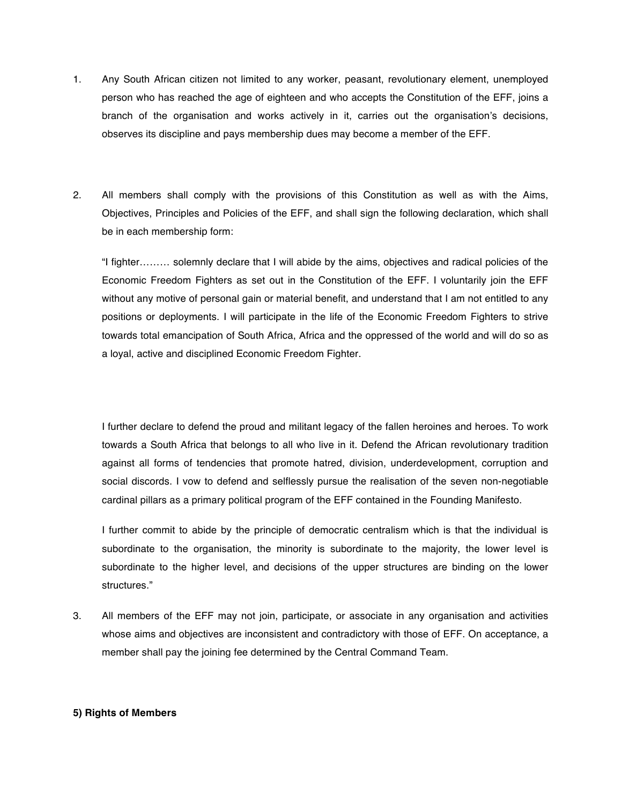- 1. Any South African citizen not limited to any worker, peasant, revolutionary element, unemployed person who has reached the age of eighteen and who accepts the Constitution of the EFF, joins a branch of the organisation and works actively in it, carries out the organisation's decisions, observes its discipline and pays membership dues may become a member of the EFF.
- 2. All members shall comply with the provisions of this Constitution as well as with the Aims, Objectives, Principles and Policies of the EFF, and shall sign the following declaration, which shall be in each membership form:

"I fighter……… solemnly declare that I will abide by the aims, objectives and radical policies of the Economic Freedom Fighters as set out in the Constitution of the EFF. I voluntarily join the EFF without any motive of personal gain or material benefit, and understand that I am not entitled to any positions or deployments. I will participate in the life of the Economic Freedom Fighters to strive towards total emancipation of South Africa, Africa and the oppressed of the world and will do so as a loyal, active and disciplined Economic Freedom Fighter.

I further declare to defend the proud and militant legacy of the fallen heroines and heroes. To work towards a South Africa that belongs to all who live in it. Defend the African revolutionary tradition against all forms of tendencies that promote hatred, division, underdevelopment, corruption and social discords. I vow to defend and selflessly pursue the realisation of the seven non-negotiable cardinal pillars as a primary political program of the EFF contained in the Founding Manifesto.

I further commit to abide by the principle of democratic centralism which is that the individual is subordinate to the organisation, the minority is subordinate to the majority, the lower level is subordinate to the higher level, and decisions of the upper structures are binding on the lower structures."

3. All members of the EFF may not join, participate, or associate in any organisation and activities whose aims and objectives are inconsistent and contradictory with those of EFF. On acceptance, a member shall pay the joining fee determined by the Central Command Team.

#### **5) Rights of Members**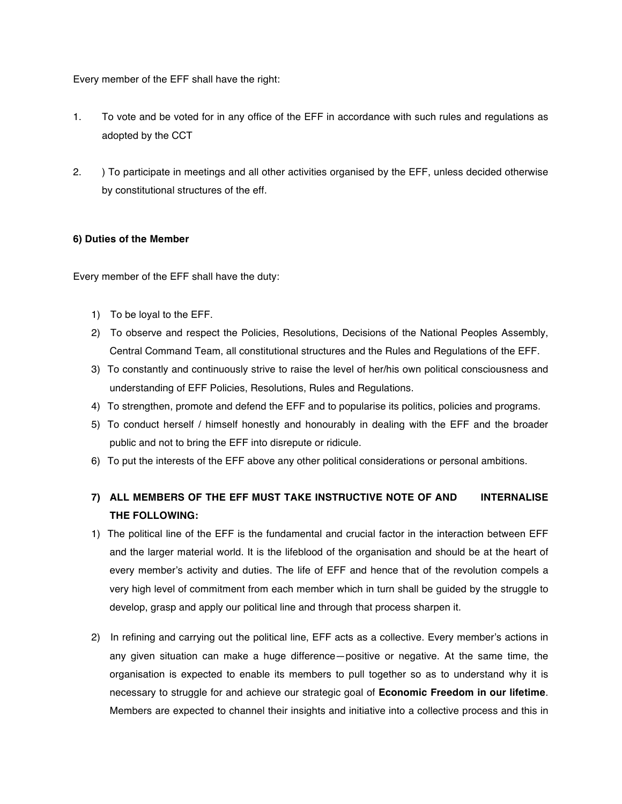Every member of the EFF shall have the right:

- 1. To vote and be voted for in any office of the EFF in accordance with such rules and regulations as adopted by the CCT
- 2. ) To participate in meetings and all other activities organised by the EFF, unless decided otherwise by constitutional structures of the eff.

#### **6) Duties of the Member**

Every member of the EFF shall have the duty:

- 1) To be loyal to the EFF.
- 2) To observe and respect the Policies, Resolutions, Decisions of the National Peoples Assembly, Central Command Team, all constitutional structures and the Rules and Regulations of the EFF.
- 3) To constantly and continuously strive to raise the level of her/his own political consciousness and understanding of EFF Policies, Resolutions, Rules and Regulations.
- 4) To strengthen, promote and defend the EFF and to popularise its politics, policies and programs.
- 5) To conduct herself / himself honestly and honourably in dealing with the EFF and the broader public and not to bring the EFF into disrepute or ridicule.
- 6) To put the interests of the EFF above any other political considerations or personal ambitions.

# **7) ALL MEMBERS OF THE EFF MUST TAKE INSTRUCTIVE NOTE OF AND INTERNALISE THE FOLLOWING:**

- 1) The political line of the EFF is the fundamental and crucial factor in the interaction between EFF and the larger material world. It is the lifeblood of the organisation and should be at the heart of every member's activity and duties. The life of EFF and hence that of the revolution compels a very high level of commitment from each member which in turn shall be guided by the struggle to develop, grasp and apply our political line and through that process sharpen it.
- 2) In refining and carrying out the political line, EFF acts as a collective. Every member's actions in any given situation can make a huge difference—positive or negative. At the same time, the organisation is expected to enable its members to pull together so as to understand why it is necessary to struggle for and achieve our strategic goal of **Economic Freedom in our lifetime**. Members are expected to channel their insights and initiative into a collective process and this in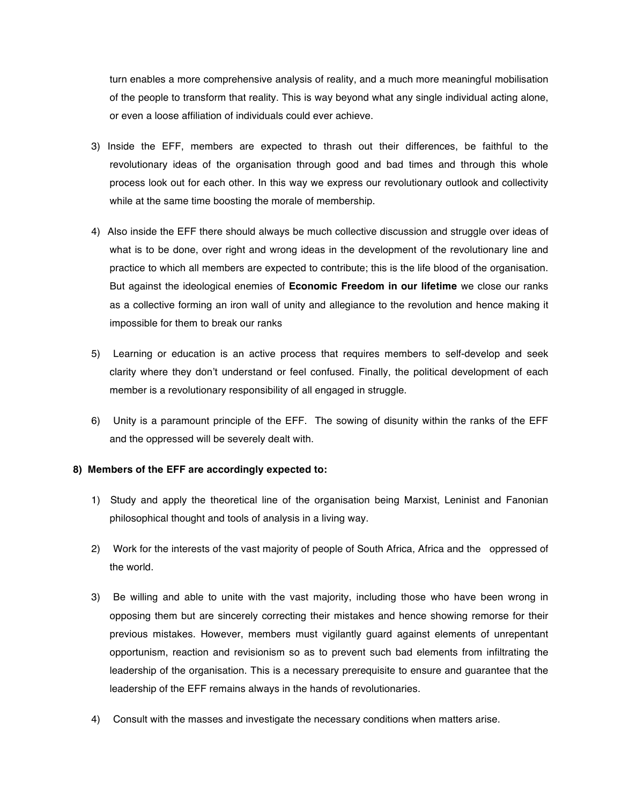turn enables a more comprehensive analysis of reality, and a much more meaningful mobilisation of the people to transform that reality. This is way beyond what any single individual acting alone, or even a loose affiliation of individuals could ever achieve.

- 3) Inside the EFF, members are expected to thrash out their differences, be faithful to the revolutionary ideas of the organisation through good and bad times and through this whole process look out for each other. In this way we express our revolutionary outlook and collectivity while at the same time boosting the morale of membership.
- 4) Also inside the EFF there should always be much collective discussion and struggle over ideas of what is to be done, over right and wrong ideas in the development of the revolutionary line and practice to which all members are expected to contribute; this is the life blood of the organisation. But against the ideological enemies of **Economic Freedom in our lifetime** we close our ranks as a collective forming an iron wall of unity and allegiance to the revolution and hence making it impossible for them to break our ranks
- 5) Learning or education is an active process that requires members to self-develop and seek clarity where they don't understand or feel confused. Finally, the political development of each member is a revolutionary responsibility of all engaged in struggle.
- 6) Unity is a paramount principle of the EFF. The sowing of disunity within the ranks of the EFF and the oppressed will be severely dealt with.

#### **8) Members of the EFF are accordingly expected to:**

- 1) Study and apply the theoretical line of the organisation being Marxist, Leninist and Fanonian philosophical thought and tools of analysis in a living way.
- 2) Work for the interests of the vast majority of people of South Africa, Africa and the oppressed of the world.
- 3) Be willing and able to unite with the vast majority, including those who have been wrong in opposing them but are sincerely correcting their mistakes and hence showing remorse for their previous mistakes. However, members must vigilantly guard against elements of unrepentant opportunism, reaction and revisionism so as to prevent such bad elements from infiltrating the leadership of the organisation. This is a necessary prerequisite to ensure and guarantee that the leadership of the EFF remains always in the hands of revolutionaries.
- 4) Consult with the masses and investigate the necessary conditions when matters arise.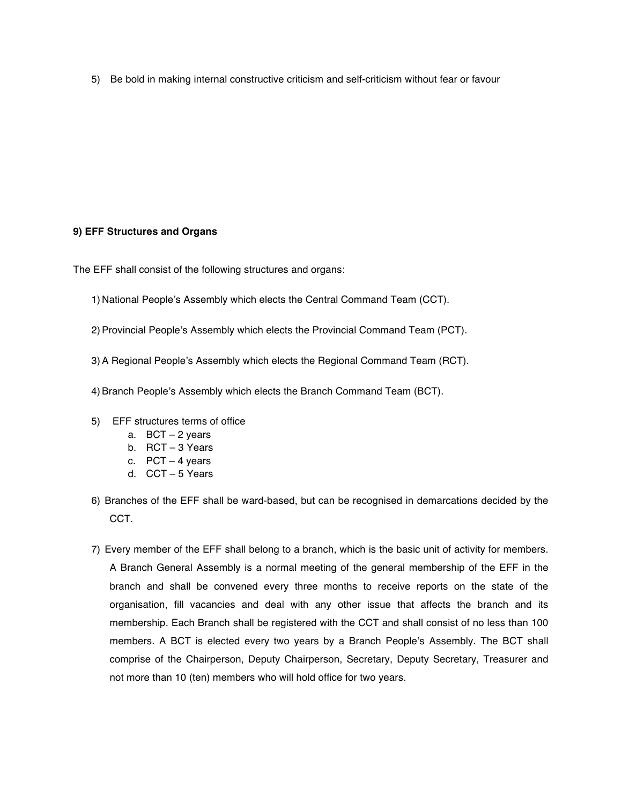5) Be bold in making internal constructive criticism and self-criticism without fear or favour

### **9) EFF Structures and Organs**

The EFF shall consist of the following structures and organs:

- 1) National People's Assembly which elects the Central Command Team (CCT).
- 2) Provincial People's Assembly which elects the Provincial Command Team (PCT).
- 3)A Regional People's Assembly which elects the Regional Command Team (RCT).
- 4)Branch People's Assembly which elects the Branch Command Team (BCT).
- 5) EFF structures terms of office
	- a. BCT 2 years
	- b. RCT 3 Years
	- c. PCT 4 years
	- d. CCT 5 Years
- 6) Branches of the EFF shall be ward-based, but can be recognised in demarcations decided by the CCT.
- 7) Every member of the EFF shall belong to a branch, which is the basic unit of activity for members. A Branch General Assembly is a normal meeting of the general membership of the EFF in the branch and shall be convened every three months to receive reports on the state of the organisation, fill vacancies and deal with any other issue that affects the branch and its membership. Each Branch shall be registered with the CCT and shall consist of no less than 100 members. A BCT is elected every two years by a Branch People's Assembly. The BCT shall comprise of the Chairperson, Deputy Chairperson, Secretary, Deputy Secretary, Treasurer and not more than 10 (ten) members who will hold office for two years.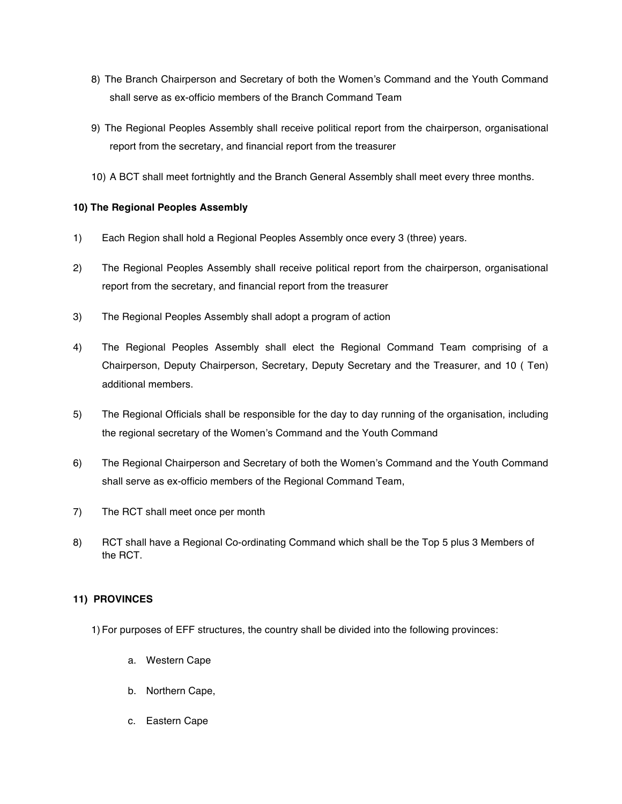- 8) The Branch Chairperson and Secretary of both the Women's Command and the Youth Command shall serve as ex-officio members of the Branch Command Team
- 9) The Regional Peoples Assembly shall receive political report from the chairperson, organisational report from the secretary, and financial report from the treasurer
- 10) A BCT shall meet fortnightly and the Branch General Assembly shall meet every three months.

# **10) The Regional Peoples Assembly**

- 1) Each Region shall hold a Regional Peoples Assembly once every 3 (three) years.
- 2) The Regional Peoples Assembly shall receive political report from the chairperson, organisational report from the secretary, and financial report from the treasurer
- 3) The Regional Peoples Assembly shall adopt a program of action
- 4) The Regional Peoples Assembly shall elect the Regional Command Team comprising of a Chairperson, Deputy Chairperson, Secretary, Deputy Secretary and the Treasurer, and 10 ( Ten) additional members.
- 5) The Regional Officials shall be responsible for the day to day running of the organisation, including the regional secretary of the Women's Command and the Youth Command
- 6) The Regional Chairperson and Secretary of both the Women's Command and the Youth Command shall serve as ex-officio members of the Regional Command Team,
- 7) The RCT shall meet once per month
- 8) RCT shall have a Regional Co-ordinating Command which shall be the Top 5 plus 3 Members of the RCT.

# **11) PROVINCES**

1) For purposes of EFF structures, the country shall be divided into the following provinces:

- a. Western Cape
- b. Northern Cape,
- c. Eastern Cape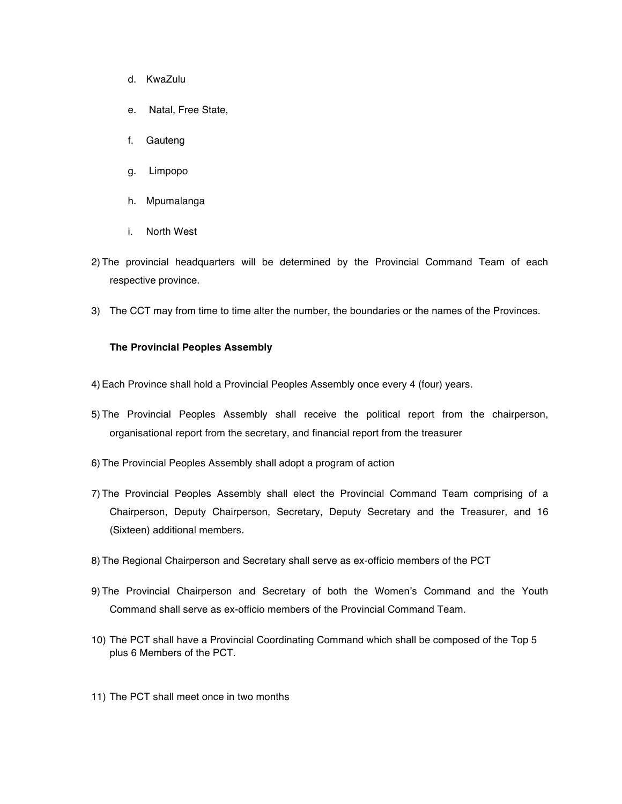- d. KwaZulu
- e. Natal, Free State,
- f. Gauteng
- g. Limpopo
- h. Mpumalanga
- i. North West
- 2) The provincial headquarters will be determined by the Provincial Command Team of each respective province.
- 3) The CCT may from time to time alter the number, the boundaries or the names of the Provinces.

#### **The Provincial Peoples Assembly**

- 4)Each Province shall hold a Provincial Peoples Assembly once every 4 (four) years.
- 5) The Provincial Peoples Assembly shall receive the political report from the chairperson, organisational report from the secretary, and financial report from the treasurer
- 6) The Provincial Peoples Assembly shall adopt a program of action
- 7) The Provincial Peoples Assembly shall elect the Provincial Command Team comprising of a Chairperson, Deputy Chairperson, Secretary, Deputy Secretary and the Treasurer, and 16 (Sixteen) additional members.
- 8) The Regional Chairperson and Secretary shall serve as ex-officio members of the PCT
- 9) The Provincial Chairperson and Secretary of both the Women's Command and the Youth Command shall serve as ex-officio members of the Provincial Command Team.
- 10) The PCT shall have a Provincial Coordinating Command which shall be composed of the Top 5 plus 6 Members of the PCT.
- 11) The PCT shall meet once in two months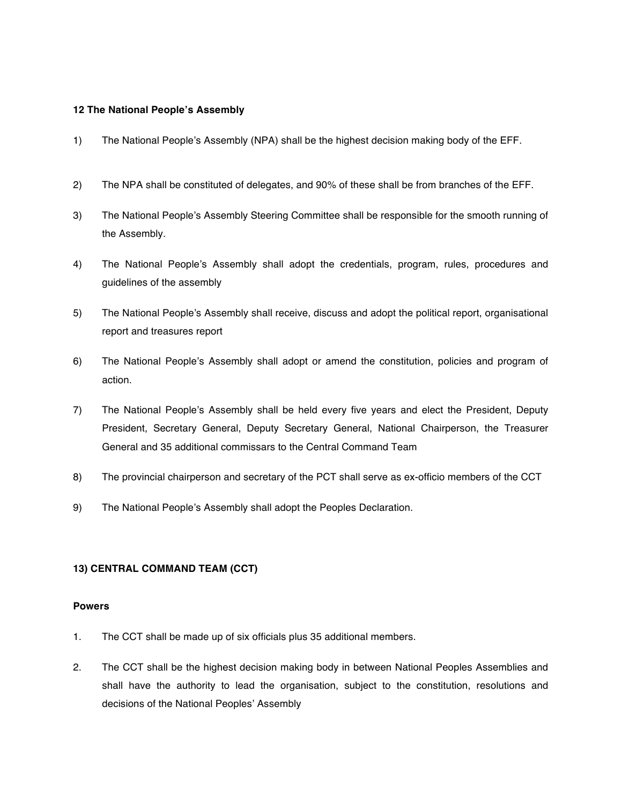#### **12 The National People's Assembly**

- 1) The National People's Assembly (NPA) shall be the highest decision making body of the EFF.
- 2) The NPA shall be constituted of delegates, and 90% of these shall be from branches of the EFF.
- 3) The National People's Assembly Steering Committee shall be responsible for the smooth running of the Assembly.
- 4) The National People's Assembly shall adopt the credentials, program, rules, procedures and guidelines of the assembly
- 5) The National People's Assembly shall receive, discuss and adopt the political report, organisational report and treasures report
- 6) The National People's Assembly shall adopt or amend the constitution, policies and program of action.
- 7) The National People's Assembly shall be held every five years and elect the President, Deputy President, Secretary General, Deputy Secretary General, National Chairperson, the Treasurer General and 35 additional commissars to the Central Command Team
- 8) The provincial chairperson and secretary of the PCT shall serve as ex-officio members of the CCT
- 9) The National People's Assembly shall adopt the Peoples Declaration.

#### **13) CENTRAL COMMAND TEAM (CCT)**

#### **Powers**

- 1. The CCT shall be made up of six officials plus 35 additional members.
- 2. The CCT shall be the highest decision making body in between National Peoples Assemblies and shall have the authority to lead the organisation, subject to the constitution, resolutions and decisions of the National Peoples' Assembly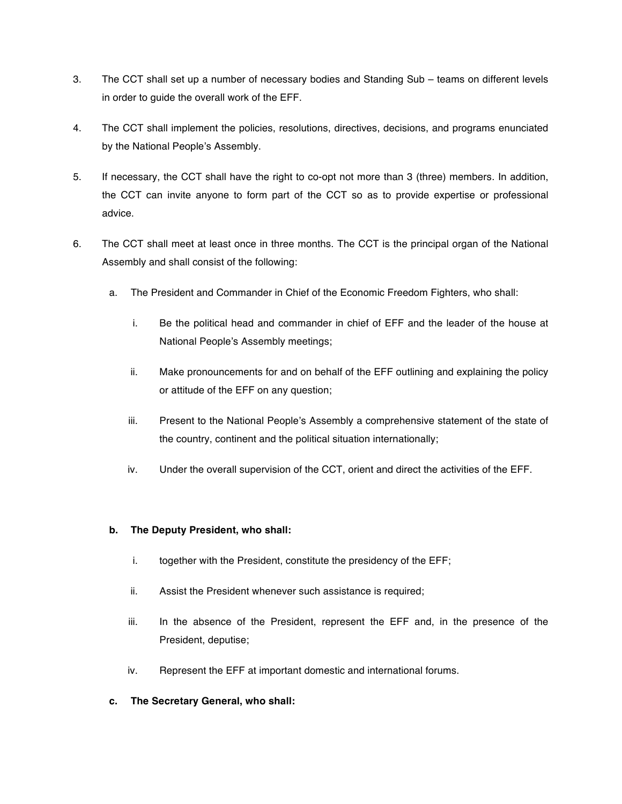- 3. The CCT shall set up a number of necessary bodies and Standing Sub teams on different levels in order to guide the overall work of the EFF.
- 4. The CCT shall implement the policies, resolutions, directives, decisions, and programs enunciated by the National People's Assembly.
- 5. If necessary, the CCT shall have the right to co-opt not more than 3 (three) members. In addition, the CCT can invite anyone to form part of the CCT so as to provide expertise or professional advice.
- 6. The CCT shall meet at least once in three months. The CCT is the principal organ of the National Assembly and shall consist of the following:
	- a. The President and Commander in Chief of the Economic Freedom Fighters, who shall:
		- i. Be the political head and commander in chief of EFF and the leader of the house at National People's Assembly meetings;
		- ii. Make pronouncements for and on behalf of the EFF outlining and explaining the policy or attitude of the EFF on any question;
		- iii. Present to the National People's Assembly a comprehensive statement of the state of the country, continent and the political situation internationally;
		- iv. Under the overall supervision of the CCT, orient and direct the activities of the EFF.

# **b. The Deputy President, who shall:**

- i. together with the President, constitute the presidency of the EFF;
- ii. Assist the President whenever such assistance is required;
- iii. In the absence of the President, represent the EFF and, in the presence of the President, deputise;
- iv. Represent the EFF at important domestic and international forums.
- **c. The Secretary General, who shall:**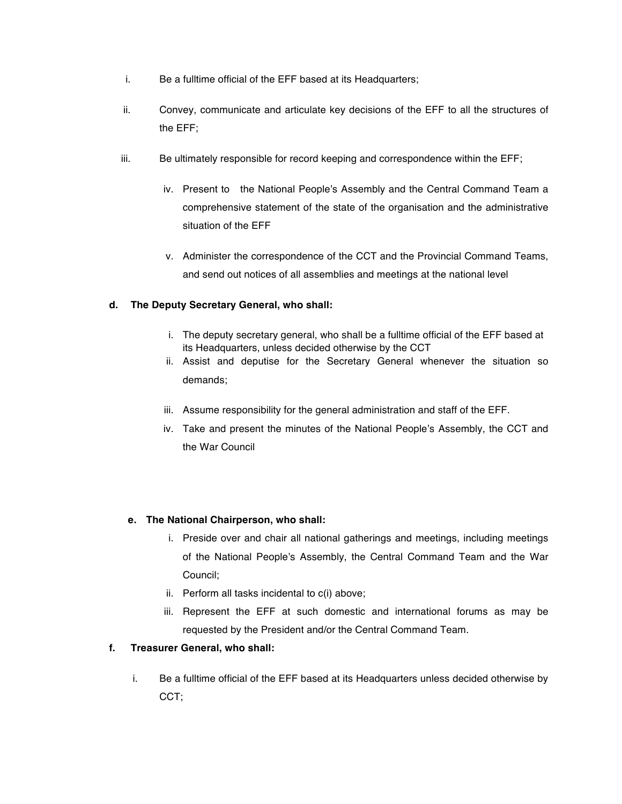- i. Be a fulltime official of the EFF based at its Headquarters;
- ii. Convey, communicate and articulate key decisions of the EFF to all the structures of the EFF;
- iii. Be ultimately responsible for record keeping and correspondence within the EFF;
	- iv. Present to the National People's Assembly and the Central Command Team a comprehensive statement of the state of the organisation and the administrative situation of the EFF
	- v. Administer the correspondence of the CCT and the Provincial Command Teams, and send out notices of all assemblies and meetings at the national level

# **d. The Deputy Secretary General, who shall:**

- i. The deputy secretary general, who shall be a fulltime official of the EFF based at its Headquarters, unless decided otherwise by the CCT
- ii. Assist and deputise for the Secretary General whenever the situation so demands;
- iii. Assume responsibility for the general administration and staff of the EFF.
- iv. Take and present the minutes of the National People's Assembly, the CCT and the War Council

#### **e. The National Chairperson, who shall:**

- i. Preside over and chair all national gatherings and meetings, including meetings of the National People's Assembly, the Central Command Team and the War Council;
- ii. Perform all tasks incidental to c(i) above;
- iii. Represent the EFF at such domestic and international forums as may be requested by the President and/or the Central Command Team.

# **f. Treasurer General, who shall:**

i. Be a fulltime official of the EFF based at its Headquarters unless decided otherwise by CCT;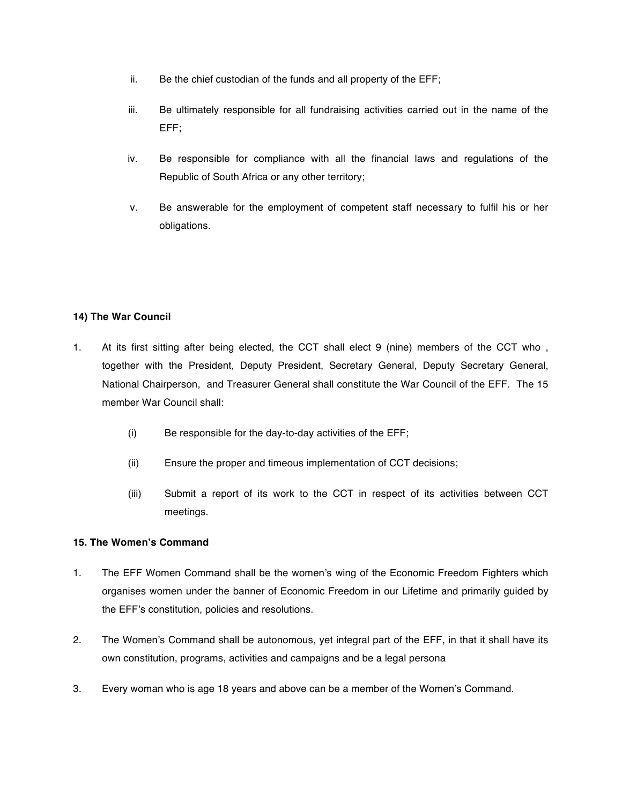- ii. Be the chief custodian of the funds and all property of the EFF;
- iii. Be ultimately responsible for all fundraising activities carried out in the name of the EFF;
- iv. Be responsible for compliance with all the financial laws and regulations of the Republic of South Africa or any other territory;
- v. Be answerable for the employment of competent staff necessary to fulfil his or her obligations.

# **14) The War Council**

- 1. At its first sitting after being elected, the CCT shall elect 9 (nine) members of the CCT who , together with the President, Deputy President, Secretary General, Deputy Secretary General, National Chairperson, and Treasurer General shall constitute the War Council of the EFF. The 15 member War Council shall:
	- (i) Be responsible for the day-to-day activities of the EFF;
	- (ii) Ensure the proper and timeous implementation of CCT decisions;
	- (iii) Submit a report of its work to the CCT in respect of its activities between CCT meetings.

#### **15. The Women's Command**

- 1. The EFF Women Command shall be the women's wing of the Economic Freedom Fighters which organises women under the banner of Economic Freedom in our Lifetime and primarily guided by the EFF's constitution, policies and resolutions.
- 2. The Women's Command shall be autonomous, yet integral part of the EFF, in that it shall have its own constitution, programs, activities and campaigns and be a legal persona
- 3. Every woman who is age 18 years and above can be a member of the Women's Command.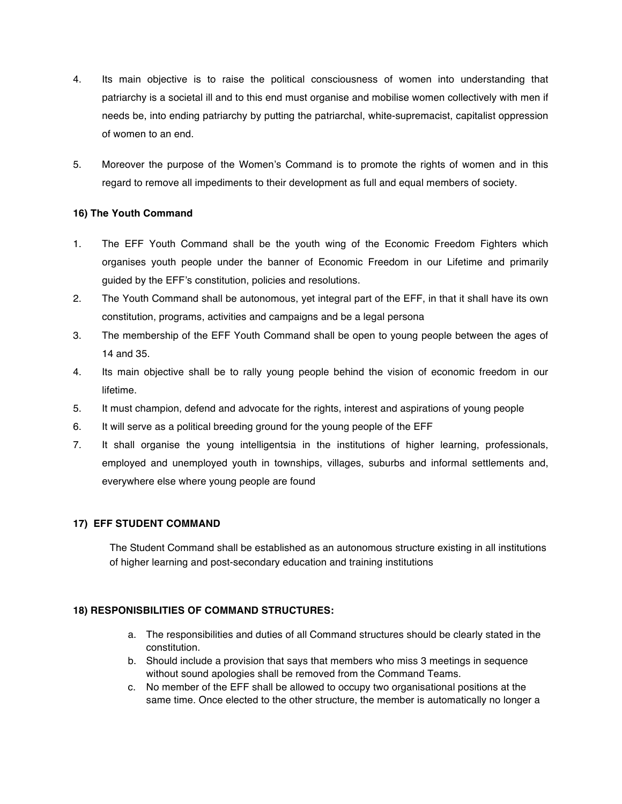- 4. Its main objective is to raise the political consciousness of women into understanding that patriarchy is a societal ill and to this end must organise and mobilise women collectively with men if needs be, into ending patriarchy by putting the patriarchal, white-supremacist, capitalist oppression of women to an end.
- 5. Moreover the purpose of the Women's Command is to promote the rights of women and in this regard to remove all impediments to their development as full and equal members of society.

# **16) The Youth Command**

- 1. The EFF Youth Command shall be the youth wing of the Economic Freedom Fighters which organises youth people under the banner of Economic Freedom in our Lifetime and primarily guided by the EFF's constitution, policies and resolutions.
- 2. The Youth Command shall be autonomous, yet integral part of the EFF, in that it shall have its own constitution, programs, activities and campaigns and be a legal persona
- 3. The membership of the EFF Youth Command shall be open to young people between the ages of 14 and 35.
- 4. Its main objective shall be to rally young people behind the vision of economic freedom in our lifetime.
- 5. It must champion, defend and advocate for the rights, interest and aspirations of young people
- 6. It will serve as a political breeding ground for the young people of the EFF
- 7. It shall organise the young intelligentsia in the institutions of higher learning, professionals, employed and unemployed youth in townships, villages, suburbs and informal settlements and, everywhere else where young people are found

#### **17) EFF STUDENT COMMAND**

The Student Command shall be established as an autonomous structure existing in all institutions of higher learning and post-secondary education and training institutions

#### **18) RESPONISBILITIES OF COMMAND STRUCTURES:**

- a. The responsibilities and duties of all Command structures should be clearly stated in the constitution.
- b. Should include a provision that says that members who miss 3 meetings in sequence without sound apologies shall be removed from the Command Teams.
- c. No member of the EFF shall be allowed to occupy two organisational positions at the same time. Once elected to the other structure, the member is automatically no longer a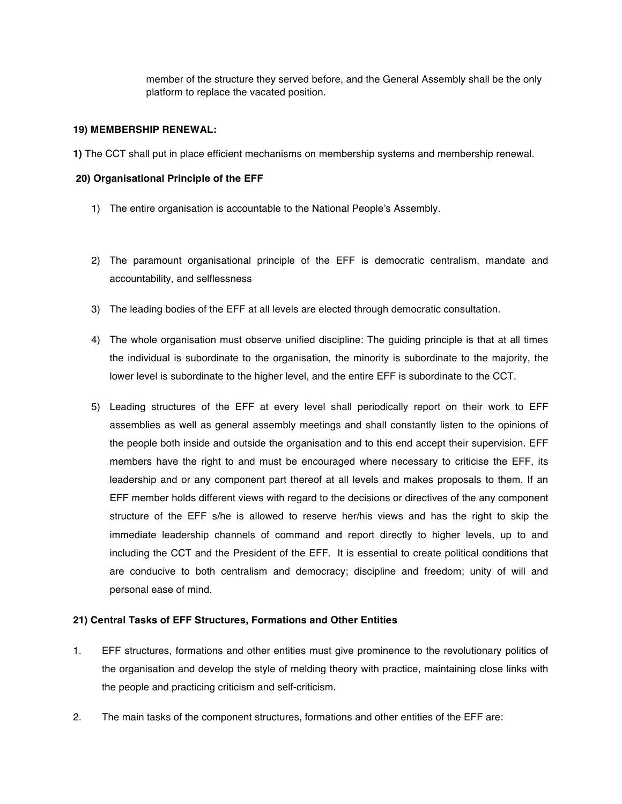member of the structure they served before, and the General Assembly shall be the only platform to replace the vacated position.

#### **19) MEMBERSHIP RENEWAL:**

**1)** The CCT shall put in place efficient mechanisms on membership systems and membership renewal.

### **20) Organisational Principle of the EFF**

- 1) The entire organisation is accountable to the National People's Assembly.
- 2) The paramount organisational principle of the EFF is democratic centralism, mandate and accountability, and selflessness
- 3) The leading bodies of the EFF at all levels are elected through democratic consultation.
- 4) The whole organisation must observe unified discipline: The guiding principle is that at all times the individual is subordinate to the organisation, the minority is subordinate to the majority, the lower level is subordinate to the higher level, and the entire EFF is subordinate to the CCT.
- 5) Leading structures of the EFF at every level shall periodically report on their work to EFF assemblies as well as general assembly meetings and shall constantly listen to the opinions of the people both inside and outside the organisation and to this end accept their supervision. EFF members have the right to and must be encouraged where necessary to criticise the EFF, its leadership and or any component part thereof at all levels and makes proposals to them. If an EFF member holds different views with regard to the decisions or directives of the any component structure of the EFF s/he is allowed to reserve her/his views and has the right to skip the immediate leadership channels of command and report directly to higher levels, up to and including the CCT and the President of the EFF. It is essential to create political conditions that are conducive to both centralism and democracy; discipline and freedom; unity of will and personal ease of mind.

#### **21) Central Tasks of EFF Structures, Formations and Other Entities**

- 1. EFF structures, formations and other entities must give prominence to the revolutionary politics of the organisation and develop the style of melding theory with practice, maintaining close links with the people and practicing criticism and self-criticism.
- 2. The main tasks of the component structures, formations and other entities of the EFF are: